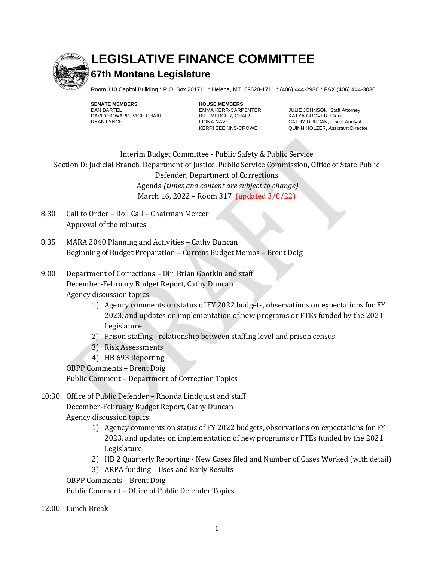

## **LEGISLATIVE FINANCE COMMITTEE**

## **67th Montana Legislature**

Room 110 Capitol Building \* P.O. Box 201711 \* Helena, MT 59620-1711 \* (406) 444-2986 \* FAX (406) 444-3036

**SENATE MEMBERS HOUSE MEMBERS** DAVID HOWARD, VICE-CHAIR<br>RYAN LYNCH BILL MERCER, CHAIR CHAIR FIONA NAVE

EMMA KERR-CARPENTER JULIE JOHNSON, Staff Attorney<br>BILL MERCER, CHAIR KATYA GROVER, Clerk FIONA NAVE<br>KERRI SEEKINS-CROWE CATHY DUNCAN, Fiscal Analyst<br>QUINN HOLZER, Assistant Direc QUINN HOLZER, Assistant Director

Staff

Interim Budget Committee - Public Safety & Public Service Section D: Judicial Branch, Department of Justice, Public Service Commission, Office of State Public Defender, Department of Corrections Agenda *(times and content are subject to change)*

March 16, 2022 – Room 317 (updated 3/8/22)

- 8:30 Call to Order Roll Call Chairman Mercer Approval of the minutes
- 8:35 MARA 2040 Planning and Activities Cathy Duncan Beginning of Budget Preparation – Current Budget Memos – Brent Doig
- 9:00 Department of Corrections Dir. Brian Gootkin and staff December-February Budget Report, Cathy Duncan Agency discussion topics:
	- 1) Agency comments on status of FY 2022 budgets, observations on expectations for FY 2023, and updates on implementation of new programs or FTEs funded by the 2021 Legislature
	- 2) Prison staffing relationship between staffing level and prison census
	- 3) Risk Assessments
	- 4) HB 693 Reporting

OBPP Comments – Brent Doig

Public Comment – Department of Correction Topics

10:30 Office of Public Defender – Rhonda Lindquist and staff December-February Budget Report, Cathy Duncan Agency discussion topics:

- 1) Agency comments on status of FY 2022 budgets, observations on expectations for FY 2023, and updates on implementation of new programs or FTEs funded by the 2021 Legislature
- 2) HB 2 Quarterly Reporting New Cases filed and Number of Cases Worked (with detail)
- 3) ARPA funding Uses and Early Results

OBPP Comments – Brent Doig

Public Comment – Office of Public Defender Topics

12:00 Lunch Break